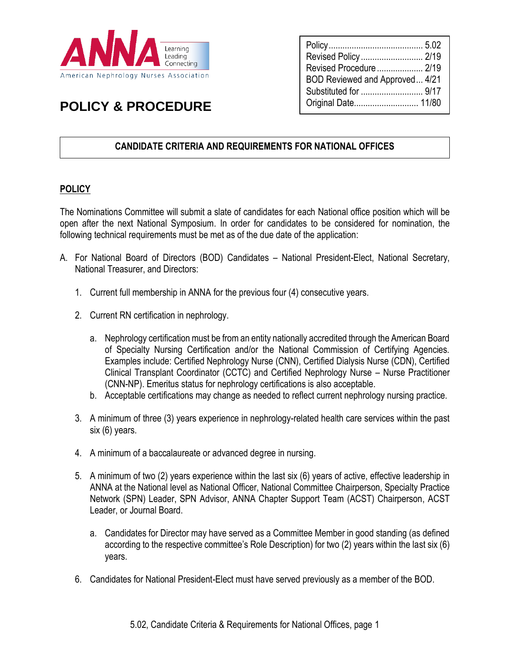

# **POLICY & PROCEDURE**

| Revised Policy  2/19<br>BOD Reviewed and Approved 4/21 |  |
|--------------------------------------------------------|--|
|                                                        |  |
|                                                        |  |

# **CANDIDATE CRITERIA AND REQUIREMENTS FOR NATIONAL OFFICES**

## **POLICY**

The Nominations Committee will submit a slate of candidates for each National office position which will be open after the next National Symposium. In order for candidates to be considered for nomination, the following technical requirements must be met as of the due date of the application:

- A. For National Board of Directors (BOD) Candidates National President-Elect, National Secretary, National Treasurer, and Directors:
	- 1. Current full membership in ANNA for the previous four (4) consecutive years.
	- 2. Current RN certification in nephrology.
		- a. Nephrology certification must be from an entity nationally accredited through the American Board of Specialty Nursing Certification and/or the National Commission of Certifying Agencies. Examples include: Certified Nephrology Nurse (CNN), Certified Dialysis Nurse (CDN), Certified Clinical Transplant Coordinator (CCTC) and Certified Nephrology Nurse – Nurse Practitioner (CNN-NP). Emeritus status for nephrology certifications is also acceptable.
		- b. Acceptable certifications may change as needed to reflect current nephrology nursing practice.
	- 3. A minimum of three (3) years experience in nephrology-related health care services within the past six (6) years.
	- 4. A minimum of a baccalaureate or advanced degree in nursing.
	- 5. A minimum of two (2) years experience within the last six (6) years of active, effective leadership in ANNA at the National level as National Officer, National Committee Chairperson, Specialty Practice Network (SPN) Leader, SPN Advisor, ANNA Chapter Support Team (ACST) Chairperson, ACST Leader, or Journal Board.
		- a. Candidates for Director may have served as a Committee Member in good standing (as defined according to the respective committee's Role Description) for two (2) years within the last six (6) years.
	- 6. Candidates for National President-Elect must have served previously as a member of the BOD.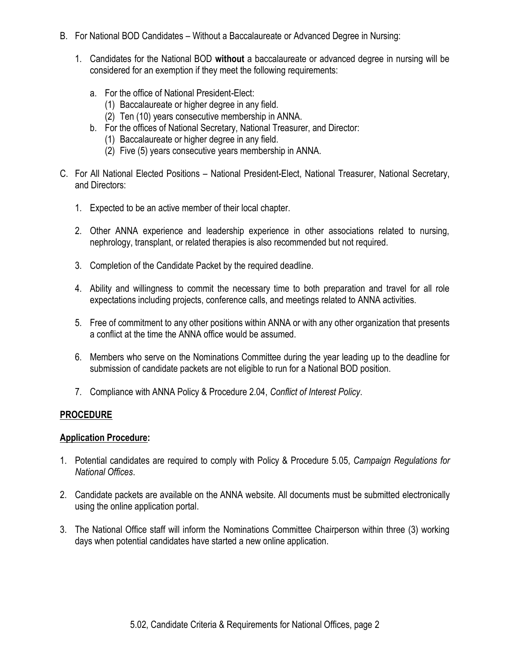- B. For National BOD Candidates Without a Baccalaureate or Advanced Degree in Nursing:
	- 1. Candidates for the National BOD **without** a baccalaureate or advanced degree in nursing will be considered for an exemption if they meet the following requirements:
		- a. For the office of National President-Elect:
			- (1) Baccalaureate or higher degree in any field.
			- (2) Ten (10) years consecutive membership in ANNA.
		- b. For the offices of National Secretary, National Treasurer, and Director:
			- (1) Baccalaureate or higher degree in any field.
			- (2) Five (5) years consecutive years membership in ANNA.
- C. For All National Elected Positions National President-Elect, National Treasurer, National Secretary, and Directors:
	- 1. Expected to be an active member of their local chapter.
	- 2. Other ANNA experience and leadership experience in other associations related to nursing, nephrology, transplant, or related therapies is also recommended but not required.
	- 3. Completion of the Candidate Packet by the required deadline.
	- 4. Ability and willingness to commit the necessary time to both preparation and travel for all role expectations including projects, conference calls, and meetings related to ANNA activities.
	- 5. Free of commitment to any other positions within ANNA or with any other organization that presents a conflict at the time the ANNA office would be assumed.
	- 6. Members who serve on the Nominations Committee during the year leading up to the deadline for submission of candidate packets are not eligible to run for a National BOD position.
	- 7. Compliance with ANNA Policy & Procedure 2.04, *Conflict of Interest Policy*.

#### **PROCEDURE**

#### **Application Procedure:**

- 1. Potential candidates are required to comply with Policy & Procedure 5.05, *Campaign Regulations for National Offices*.
- 2. Candidate packets are available on the ANNA website. All documents must be submitted electronically using the online application portal.
- 3. The National Office staff will inform the Nominations Committee Chairperson within three (3) working days when potential candidates have started a new online application.